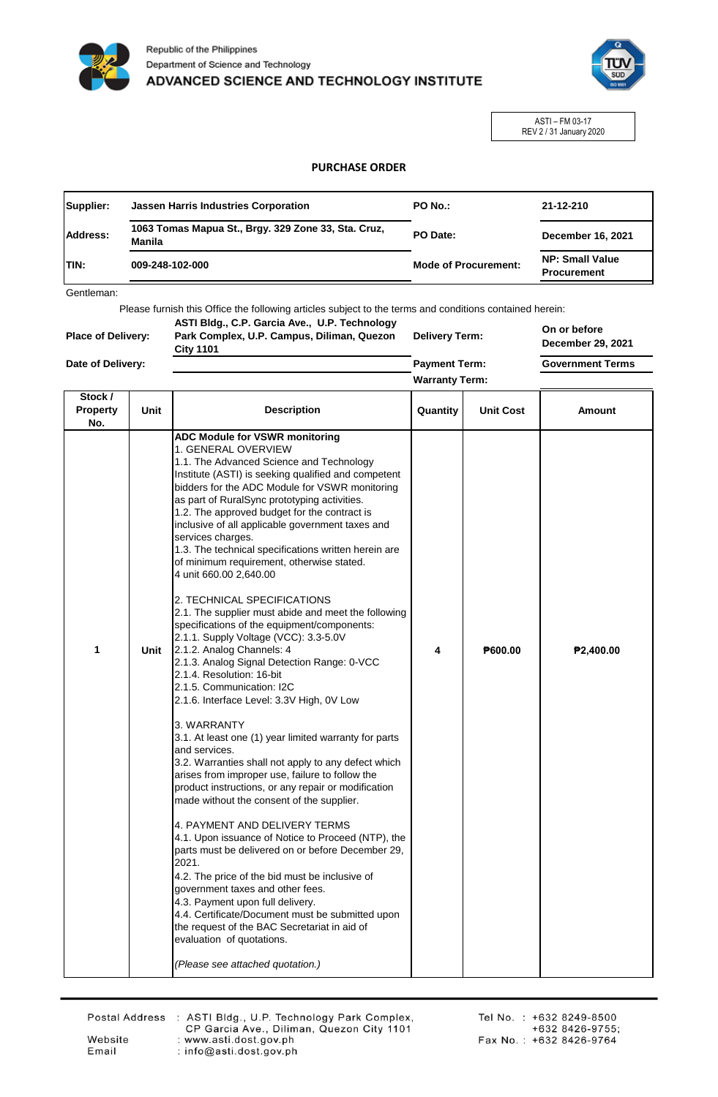



ASTI – FM 03-17 REV 2 / 31 January 2020

## **PURCHASE ORDER**

| Supplier:    | <b>Jassen Harris Industries Corporation</b>                   | PO No.:                     | 21-12-210                                    |
|--------------|---------------------------------------------------------------|-----------------------------|----------------------------------------------|
| Address:     | 1063 Tomas Mapua St., Brgy. 329 Zone 33, Sta. Cruz,<br>Manila | PO Date:                    | December 16, 2021                            |
| <b>ITIN:</b> | 009-248-102-000                                               | <b>Mode of Procurement:</b> | <b>NP: Small Value</b><br><b>Procurement</b> |

Gentleman:

Please furnish this Office the following articles subject to the terms and conditions contained herein:

| <b>Place of Delivery:</b> | ASTI Bldg., C.P. Garcia Ave., U.P. Technology<br>Park Complex, U.P. Campus, Diliman, Quezon<br><b>City 1101</b> | <b>Delivery Term:</b> |  | On or before<br>December 29, 2021 |
|---------------------------|-----------------------------------------------------------------------------------------------------------------|-----------------------|--|-----------------------------------|
| Date of Delivery:         |                                                                                                                 | <b>Payment Term:</b>  |  | <b>Government Terms</b>           |
|                           |                                                                                                                 | <b>Warranty Term:</b> |  |                                   |
| Stock /                   |                                                                                                                 |                       |  |                                   |

| , הטע<br><b>Property</b><br>No. | Unit | <b>Description</b>                                                                                                                                                                                                                                                                                                                                                                                                                                                                                                                                                                                                                                                                                                                                                                                                                                                                                                                                                                                                                                                                                                                                                                                                                                                                                                                                                                                                                                                               | Quantity | <b>Unit Cost</b> | <b>Amount</b> |
|---------------------------------|------|----------------------------------------------------------------------------------------------------------------------------------------------------------------------------------------------------------------------------------------------------------------------------------------------------------------------------------------------------------------------------------------------------------------------------------------------------------------------------------------------------------------------------------------------------------------------------------------------------------------------------------------------------------------------------------------------------------------------------------------------------------------------------------------------------------------------------------------------------------------------------------------------------------------------------------------------------------------------------------------------------------------------------------------------------------------------------------------------------------------------------------------------------------------------------------------------------------------------------------------------------------------------------------------------------------------------------------------------------------------------------------------------------------------------------------------------------------------------------------|----------|------------------|---------------|
| 1                               | Unit | <b>ADC Module for VSWR monitoring</b><br>1. GENERAL OVERVIEW<br>1.1. The Advanced Science and Technology<br>Institute (ASTI) is seeking qualified and competent<br>bidders for the ADC Module for VSWR monitoring<br>as part of RuralSync prototyping activities.<br>1.2. The approved budget for the contract is<br>inclusive of all applicable government taxes and<br>services charges.<br>1.3. The technical specifications written herein are<br>of minimum requirement, otherwise stated.<br>4 unit 660.00 2,640.00<br>2. TECHNICAL SPECIFICATIONS<br>2.1. The supplier must abide and meet the following<br>specifications of the equipment/components:<br>2.1.1. Supply Voltage (VCC): 3.3-5.0V<br>2.1.2. Analog Channels: 4<br>2.1.3. Analog Signal Detection Range: 0-VCC<br>2.1.4. Resolution: 16-bit<br>2.1.5. Communication: I2C<br>2.1.6. Interface Level: 3.3V High, 0V Low<br>3. WARRANTY<br>3.1. At least one (1) year limited warranty for parts<br>and services.<br>3.2. Warranties shall not apply to any defect which<br>arises from improper use, failure to follow the<br>product instructions, or any repair or modification<br>made without the consent of the supplier.<br>4. PAYMENT AND DELIVERY TERMS<br>4.1. Upon issuance of Notice to Proceed (NTP), the<br>parts must be delivered on or before December 29,<br>2021.<br>4.2. The price of the bid must be inclusive of<br>government taxes and other fees.<br>4.3. Payment upon full delivery. | 4        | P600.00          | P2,400.00     |
|                                 |      | 4.4. Certificate/Document must be submitted upon<br>the request of the BAC Secretariat in aid of<br>evaluation of quotations.<br>(Please see attached quotation.)                                                                                                                                                                                                                                                                                                                                                                                                                                                                                                                                                                                                                                                                                                                                                                                                                                                                                                                                                                                                                                                                                                                                                                                                                                                                                                                |          |                  |               |

Website

Email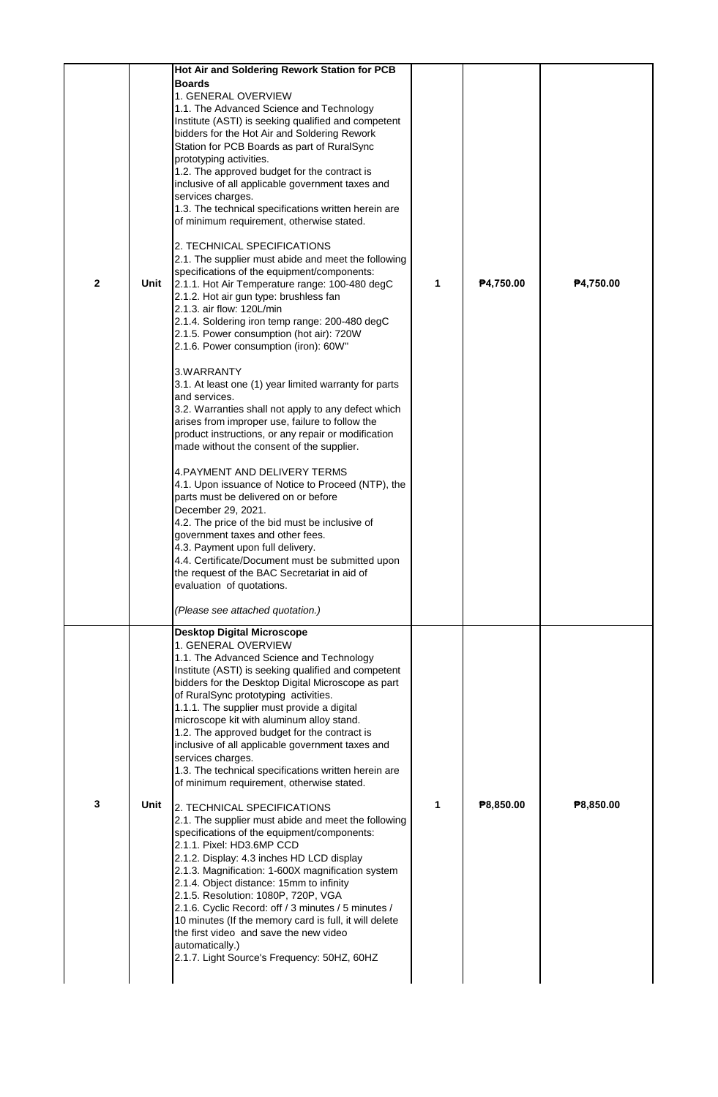| $\mathbf{2}$ | Unit | Hot Air and Soldering Rework Station for PCB<br><b>Boards</b><br>1. GENERAL OVERVIEW<br>1.1. The Advanced Science and Technology<br>Institute (ASTI) is seeking qualified and competent<br>bidders for the Hot Air and Soldering Rework<br>Station for PCB Boards as part of RuralSync<br>prototyping activities.<br>1.2. The approved budget for the contract is<br>inclusive of all applicable government taxes and<br>services charges.<br>1.3. The technical specifications written herein are<br>of minimum requirement, otherwise stated.<br>2. TECHNICAL SPECIFICATIONS<br>2.1. The supplier must abide and meet the following<br>specifications of the equipment/components:<br>2.1.1. Hot Air Temperature range: 100-480 degC<br>2.1.2. Hot air gun type: brushless fan<br>2.1.3. air flow: 120L/min<br>2.1.4. Soldering iron temp range: 200-480 degC<br>2.1.5. Power consumption (hot air): 720W<br>2.1.6. Power consumption (iron): 60W"<br>3. WARRANTY<br>3.1. At least one (1) year limited warranty for parts<br>and services.<br>3.2. Warranties shall not apply to any defect which<br>arises from improper use, failure to follow the<br>product instructions, or any repair or modification<br>made without the consent of the supplier.<br>4. PAYMENT AND DELIVERY TERMS<br>4.1. Upon issuance of Notice to Proceed (NTP), the | 1 | P4,750.00 | P4,750.00 |
|--------------|------|----------------------------------------------------------------------------------------------------------------------------------------------------------------------------------------------------------------------------------------------------------------------------------------------------------------------------------------------------------------------------------------------------------------------------------------------------------------------------------------------------------------------------------------------------------------------------------------------------------------------------------------------------------------------------------------------------------------------------------------------------------------------------------------------------------------------------------------------------------------------------------------------------------------------------------------------------------------------------------------------------------------------------------------------------------------------------------------------------------------------------------------------------------------------------------------------------------------------------------------------------------------------------------------------------------------------------------------------------|---|-----------|-----------|
|              |      | parts must be delivered on or before<br>December 29, 2021.<br>4.2. The price of the bid must be inclusive of<br>government taxes and other fees.<br>4.3. Payment upon full delivery.<br>4.4. Certificate/Document must be submitted upon<br>the request of the BAC Secretariat in aid of<br>evaluation of quotations.<br>(Please see attached quotation.)                                                                                                                                                                                                                                                                                                                                                                                                                                                                                                                                                                                                                                                                                                                                                                                                                                                                                                                                                                                          |   |           |           |
| 3            | Unit | <b>Desktop Digital Microscope</b><br>1. GENERAL OVERVIEW<br>1.1. The Advanced Science and Technology<br>Institute (ASTI) is seeking qualified and competent<br>bidders for the Desktop Digital Microscope as part<br>of RuralSync prototyping activities.<br>1.1.1. The supplier must provide a digital<br>microscope kit with aluminum alloy stand.<br>1.2. The approved budget for the contract is<br>inclusive of all applicable government taxes and<br>services charges.<br>1.3. The technical specifications written herein are<br>of minimum requirement, otherwise stated.<br>2. TECHNICAL SPECIFICATIONS<br>2.1. The supplier must abide and meet the following<br>specifications of the equipment/components:<br>2.1.1. Pixel: HD3.6MP CCD<br>2.1.2. Display: 4.3 inches HD LCD display<br>2.1.3. Magnification: 1-600X magnification system<br>2.1.4. Object distance: 15mm to infinity<br>2.1.5. Resolution: 1080P, 720P, VGA<br>2.1.6. Cyclic Record: off / 3 minutes / 5 minutes /<br>10 minutes (If the memory card is full, it will delete<br>the first video and save the new video<br>automatically.)<br>2.1.7. Light Source's Frequency: 50HZ, 60HZ                                                                                                                                                                             | 1 | ₱8,850.00 | ₱8,850.00 |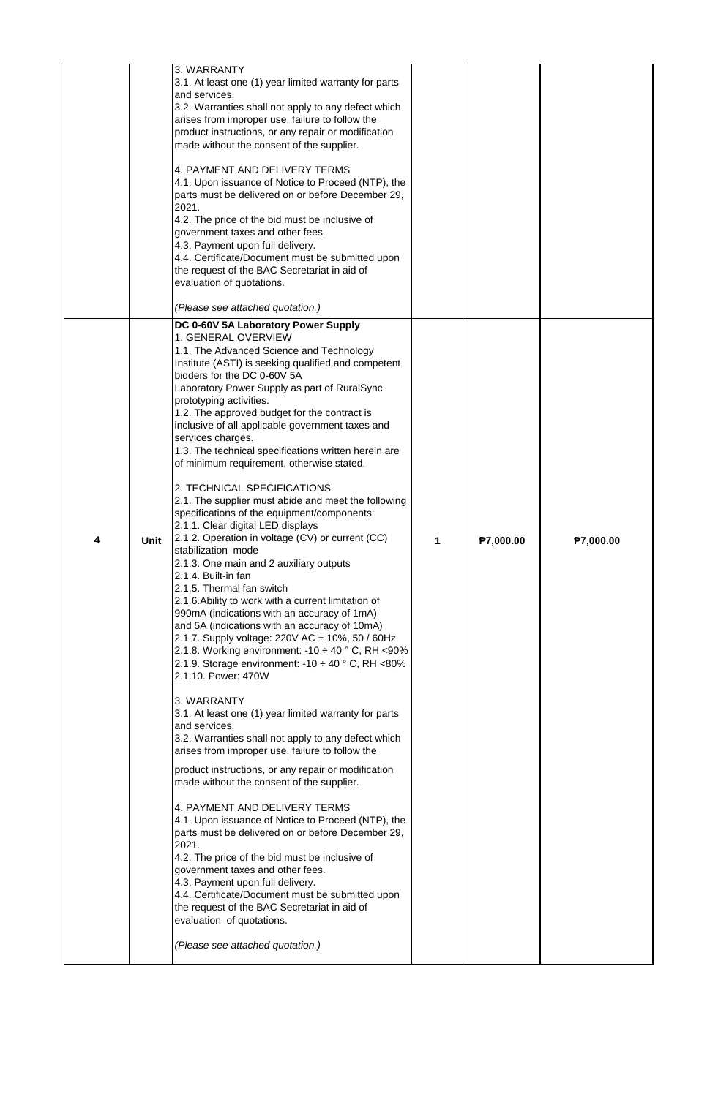|   |      | 3. WARRANTY<br>3.1. At least one (1) year limited warranty for parts<br>and services.<br>3.2. Warranties shall not apply to any defect which<br>arises from improper use, failure to follow the<br>product instructions, or any repair or modification<br>made without the consent of the supplier.<br>4. PAYMENT AND DELIVERY TERMS<br>4.1. Upon issuance of Notice to Proceed (NTP), the<br>parts must be delivered on or before December 29,<br>2021.<br>4.2. The price of the bid must be inclusive of<br>government taxes and other fees.<br>4.3. Payment upon full delivery.<br>4.4. Certificate/Document must be submitted upon<br>the request of the BAC Secretariat in aid of<br>evaluation of quotations.<br>(Please see attached quotation.)                                                                                                                                                                                                                                                                                                                                                                                                                                                                                                                                                                                                                                                                                                                                                                                                                                                                                                                                                                                                                                                                                                                                                                                                                  |   |           |           |
|---|------|--------------------------------------------------------------------------------------------------------------------------------------------------------------------------------------------------------------------------------------------------------------------------------------------------------------------------------------------------------------------------------------------------------------------------------------------------------------------------------------------------------------------------------------------------------------------------------------------------------------------------------------------------------------------------------------------------------------------------------------------------------------------------------------------------------------------------------------------------------------------------------------------------------------------------------------------------------------------------------------------------------------------------------------------------------------------------------------------------------------------------------------------------------------------------------------------------------------------------------------------------------------------------------------------------------------------------------------------------------------------------------------------------------------------------------------------------------------------------------------------------------------------------------------------------------------------------------------------------------------------------------------------------------------------------------------------------------------------------------------------------------------------------------------------------------------------------------------------------------------------------------------------------------------------------------------------------------------------------|---|-----------|-----------|
| 4 | Unit | DC 0-60V 5A Laboratory Power Supply<br>1. GENERAL OVERVIEW<br>1.1. The Advanced Science and Technology<br>Institute (ASTI) is seeking qualified and competent<br>bidders for the DC 0-60V 5A<br>Laboratory Power Supply as part of RuralSync<br>prototyping activities.<br>1.2. The approved budget for the contract is<br>inclusive of all applicable government taxes and<br>services charges.<br>1.3. The technical specifications written herein are<br>of minimum requirement, otherwise stated.<br>2. TECHNICAL SPECIFICATIONS<br>2.1. The supplier must abide and meet the following<br>specifications of the equipment/components:<br>2.1.1. Clear digital LED displays<br>2.1.2. Operation in voltage (CV) or current (CC)<br>stabilization mode<br>2.1.3. One main and 2 auxiliary outputs<br>2.1.4. Built-in fan<br>2.1.5. Thermal fan switch<br>2.1.6. Ability to work with a current limitation of<br>990mA (indications with an accuracy of 1mA)<br>and 5A (indications with an accuracy of 10mA)<br>2.1.7. Supply voltage: 220V AC ± 10%, 50 / 60Hz<br>2.1.8. Working environment: -10 $\div$ 40 ° C, RH <90%<br>2.1.9. Storage environment: -10 $\div$ 40 ° C, RH <80%<br>2.1.10. Power: 470W<br>3. WARRANTY<br>3.1. At least one (1) year limited warranty for parts<br>and services.<br>3.2. Warranties shall not apply to any defect which<br>arises from improper use, failure to follow the<br>product instructions, or any repair or modification<br>made without the consent of the supplier.<br>4. PAYMENT AND DELIVERY TERMS<br>4.1. Upon issuance of Notice to Proceed (NTP), the<br>parts must be delivered on or before December 29,<br>2021.<br>4.2. The price of the bid must be inclusive of<br>government taxes and other fees.<br>4.3. Payment upon full delivery.<br>4.4. Certificate/Document must be submitted upon<br>the request of the BAC Secretariat in aid of<br>evaluation of quotations.<br>(Please see attached quotation.) | 1 | ₱7,000.00 | ₱7,000.00 |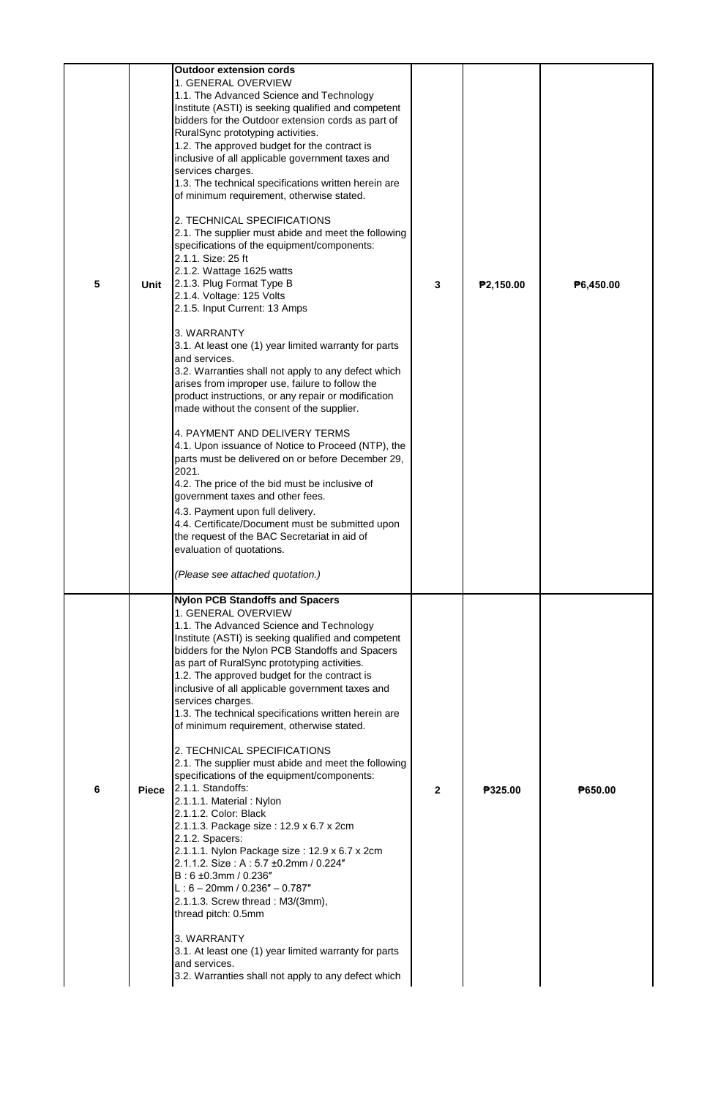| 5 | Unit  | Outdoor extension cords<br>1. GENERAL OVERVIEW<br>1.1. The Advanced Science and Technology<br>Institute (ASTI) is seeking qualified and competent<br>bidders for the Outdoor extension cords as part of<br>RuralSync prototyping activities.<br>1.2. The approved budget for the contract is<br>inclusive of all applicable government taxes and<br>services charges.<br>1.3. The technical specifications written herein are<br>of minimum requirement, otherwise stated.<br>2. TECHNICAL SPECIFICATIONS<br>2.1. The supplier must abide and meet the following<br>specifications of the equipment/components:<br>2.1.1. Size: 25 ft<br>2.1.2. Wattage 1625 watts<br>2.1.3. Plug Format Type B<br>2.1.4. Voltage: 125 Volts<br>2.1.5. Input Current: 13 Amps<br>3. WARRANTY<br>3.1. At least one (1) year limited warranty for parts<br>and services.<br>3.2. Warranties shall not apply to any defect which<br>arises from improper use, failure to follow the<br>product instructions, or any repair or modification<br>made without the consent of the supplier.<br>4. PAYMENT AND DELIVERY TERMS<br>4.1. Upon issuance of Notice to Proceed (NTP), the<br>parts must be delivered on or before December 29,<br>2021.<br>4.2. The price of the bid must be inclusive of<br>government taxes and other fees.<br>4.3. Payment upon full delivery.<br>4.4. Certificate/Document must be submitted upon<br>the request of the BAC Secretariat in aid of<br>evaluation of quotations.<br>(Please see attached quotation.) | 3            | P2,150.00 | P6,450.00 |
|---|-------|--------------------------------------------------------------------------------------------------------------------------------------------------------------------------------------------------------------------------------------------------------------------------------------------------------------------------------------------------------------------------------------------------------------------------------------------------------------------------------------------------------------------------------------------------------------------------------------------------------------------------------------------------------------------------------------------------------------------------------------------------------------------------------------------------------------------------------------------------------------------------------------------------------------------------------------------------------------------------------------------------------------------------------------------------------------------------------------------------------------------------------------------------------------------------------------------------------------------------------------------------------------------------------------------------------------------------------------------------------------------------------------------------------------------------------------------------------------------------------------------------------------------------|--------------|-----------|-----------|
| 6 | Piece | <b>Nylon PCB Standoffs and Spacers</b><br>1. GENERAL OVERVIEW<br>1.1. The Advanced Science and Technology<br>Institute (ASTI) is seeking qualified and competent<br>bidders for the Nylon PCB Standoffs and Spacers<br>as part of RuralSync prototyping activities.<br>1.2. The approved budget for the contract is<br>inclusive of all applicable government taxes and<br>services charges.<br>1.3. The technical specifications written herein are<br>of minimum requirement, otherwise stated.<br>2. TECHNICAL SPECIFICATIONS<br>2.1. The supplier must abide and meet the following<br>specifications of the equipment/components:<br>2.1.1. Standoffs:<br>2.1.1.1. Material: Nylon<br>2.1.1.2. Color: Black<br>2.1.1.3. Package size: 12.9 x 6.7 x 2cm<br>2.1.2. Spacers:<br>2.1.1.1. Nylon Package size: 12.9 x 6.7 x 2cm<br>2.1.1.2. Size: A: 5.7 ±0.2mm / 0.224"<br>$B: 6 \pm 0.3$ mm / 0.236"<br>$L: 6 - 20$ mm / 0.236" - 0.787"<br>2.1.1.3. Screw thread: M3/(3mm),<br>thread pitch: 0.5mm<br>3. WARRANTY<br>3.1. At least one (1) year limited warranty for parts<br>and services.<br>3.2. Warranties shall not apply to any defect which                                                                                                                                                                                                                                                                                                                                                                    | $\mathbf{2}$ | P325.00   | P650.00   |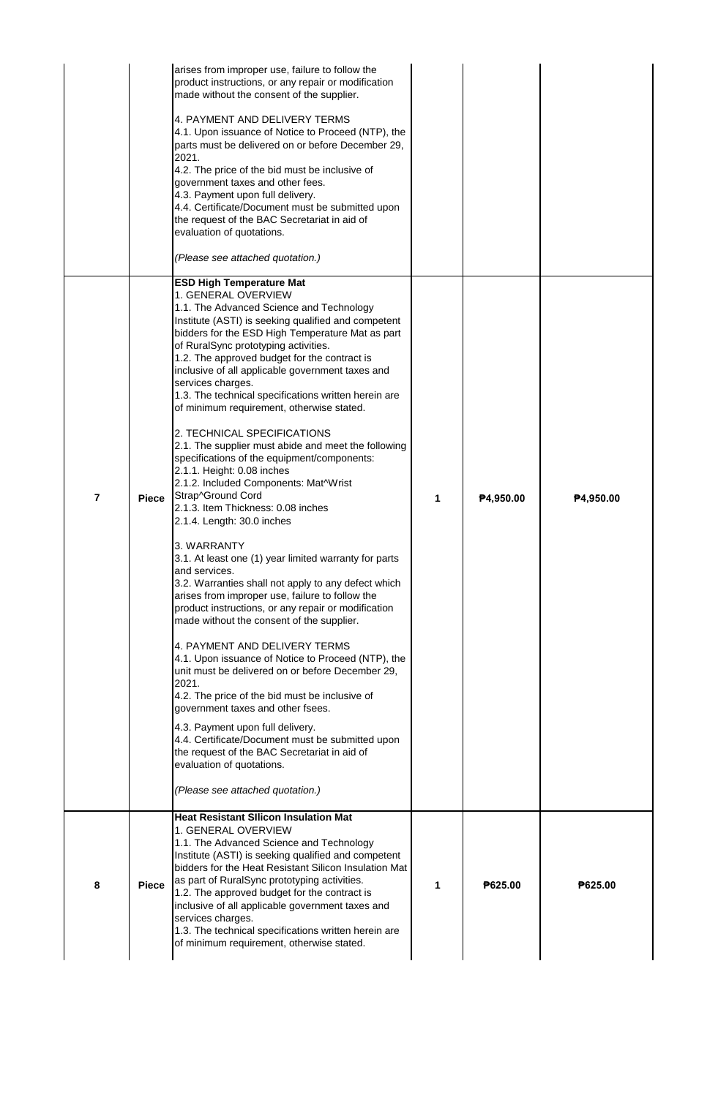|   |              | arises from improper use, failure to follow the<br>product instructions, or any repair or modification<br>made without the consent of the supplier.<br>4. PAYMENT AND DELIVERY TERMS<br>4.1. Upon issuance of Notice to Proceed (NTP), the<br>parts must be delivered on or before December 29,<br>2021.<br>4.2. The price of the bid must be inclusive of<br>government taxes and other fees.<br>4.3. Payment upon full delivery.<br>4.4. Certificate/Document must be submitted upon<br>the request of the BAC Secretariat in aid of<br>evaluation of quotations.<br>(Please see attached quotation.)                                                                                                                                                                                                                                                                                                                                                                                                                                                                                                                                                                                                                                                                                                                                                                                                                                                                                                                                             |   |           |           |
|---|--------------|-----------------------------------------------------------------------------------------------------------------------------------------------------------------------------------------------------------------------------------------------------------------------------------------------------------------------------------------------------------------------------------------------------------------------------------------------------------------------------------------------------------------------------------------------------------------------------------------------------------------------------------------------------------------------------------------------------------------------------------------------------------------------------------------------------------------------------------------------------------------------------------------------------------------------------------------------------------------------------------------------------------------------------------------------------------------------------------------------------------------------------------------------------------------------------------------------------------------------------------------------------------------------------------------------------------------------------------------------------------------------------------------------------------------------------------------------------------------------------------------------------------------------------------------------------|---|-----------|-----------|
| 7 | <b>Piece</b> | <b>ESD High Temperature Mat</b><br>1. GENERAL OVERVIEW<br>1.1. The Advanced Science and Technology<br>Institute (ASTI) is seeking qualified and competent<br>bidders for the ESD High Temperature Mat as part<br>of RuralSync prototyping activities.<br>1.2. The approved budget for the contract is<br>inclusive of all applicable government taxes and<br>services charges.<br>1.3. The technical specifications written herein are<br>of minimum requirement, otherwise stated.<br>2. TECHNICAL SPECIFICATIONS<br>2.1. The supplier must abide and meet the following<br>specifications of the equipment/components:<br>2.1.1. Height: 0.08 inches<br>2.1.2. Included Components: Mat^Wrist<br>Strap^Ground Cord<br>2.1.3. Item Thickness: 0.08 inches<br>2.1.4. Length: 30.0 inches<br>3. WARRANTY<br>3.1. At least one (1) year limited warranty for parts<br>and services.<br>3.2. Warranties shall not apply to any defect which<br>arises from improper use, failure to follow the<br>product instructions, or any repair or modification<br>made without the consent of the supplier.<br>4. PAYMENT AND DELIVERY TERMS<br>4.1. Upon issuance of Notice to Proceed (NTP), the<br>unit must be delivered on or before December 29,<br>2021.<br>4.2. The price of the bid must be inclusive of<br>government taxes and other fsees.<br>4.3. Payment upon full delivery.<br>4.4. Certificate/Document must be submitted upon<br>the request of the BAC Secretariat in aid of<br>evaluation of quotations.<br>(Please see attached quotation.) | 1 | P4,950.00 | P4,950.00 |
| 8 | <b>Piece</b> | <b>Heat Resistant Silicon Insulation Mat</b><br>1. GENERAL OVERVIEW<br>1.1. The Advanced Science and Technology<br>Institute (ASTI) is seeking qualified and competent<br>bidders for the Heat Resistant Silicon Insulation Mat<br>as part of RuralSync prototyping activities.<br>1.2. The approved budget for the contract is<br>inclusive of all applicable government taxes and<br>services charges.<br>1.3. The technical specifications written herein are<br>of minimum requirement, otherwise stated.                                                                                                                                                                                                                                                                                                                                                                                                                                                                                                                                                                                                                                                                                                                                                                                                                                                                                                                                                                                                                                       | 1 | P625.00   | P625.00   |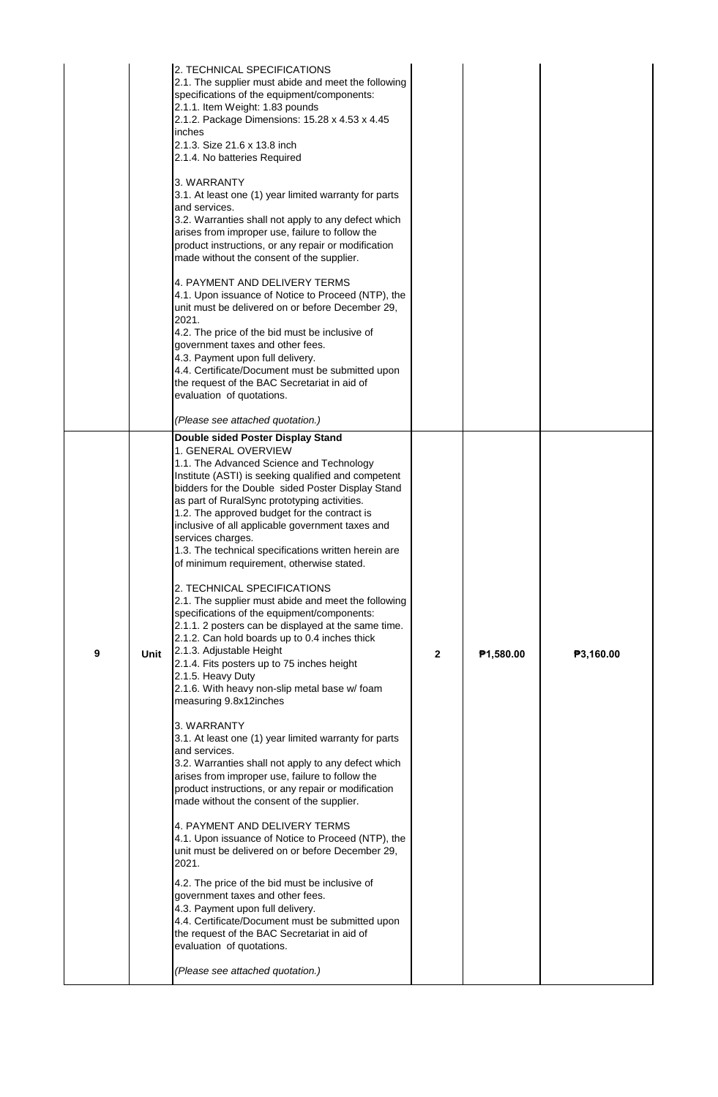|   |      | 2. TECHNICAL SPECIFICATIONS<br>2.1. The supplier must abide and meet the following<br>specifications of the equipment/components:<br>2.1.1. Item Weight: 1.83 pounds<br>2.1.2. Package Dimensions: 15.28 x 4.53 x 4.45<br>inches<br>2.1.3. Size 21.6 x 13.8 inch<br>2.1.4. No batteries Required<br>3. WARRANTY<br>3.1. At least one (1) year limited warranty for parts<br>and services.<br>3.2. Warranties shall not apply to any defect which<br>arises from improper use, failure to follow the<br>product instructions, or any repair or modification<br>made without the consent of the supplier.<br>4. PAYMENT AND DELIVERY TERMS<br>4.1. Upon issuance of Notice to Proceed (NTP), the<br>unit must be delivered on or before December 29,<br>2021.<br>4.2. The price of the bid must be inclusive of<br>government taxes and other fees.<br>4.3. Payment upon full delivery.<br>4.4. Certificate/Document must be submitted upon<br>the request of the BAC Secretariat in aid of<br>evaluation of quotations.<br>(Please see attached quotation.)                                                                                                                                                                                                                                                                                                                                                                                                                                                                                                                                                                                                                      |              |           |           |
|---|------|---------------------------------------------------------------------------------------------------------------------------------------------------------------------------------------------------------------------------------------------------------------------------------------------------------------------------------------------------------------------------------------------------------------------------------------------------------------------------------------------------------------------------------------------------------------------------------------------------------------------------------------------------------------------------------------------------------------------------------------------------------------------------------------------------------------------------------------------------------------------------------------------------------------------------------------------------------------------------------------------------------------------------------------------------------------------------------------------------------------------------------------------------------------------------------------------------------------------------------------------------------------------------------------------------------------------------------------------------------------------------------------------------------------------------------------------------------------------------------------------------------------------------------------------------------------------------------------------------------------------------------------------------------------------------------|--------------|-----------|-----------|
| 9 | Unit | Double sided Poster Display Stand<br>1. GENERAL OVERVIEW<br>1.1. The Advanced Science and Technology<br>Institute (ASTI) is seeking qualified and competent<br>bidders for the Double sided Poster Display Stand<br>as part of RuralSync prototyping activities.<br>1.2. The approved budget for the contract is<br>inclusive of all applicable government taxes and<br>services charges.<br>1.3. The technical specifications written herein are<br>of minimum requirement, otherwise stated.<br>2. TECHNICAL SPECIFICATIONS<br>2.1. The supplier must abide and meet the following<br>specifications of the equipment/components:<br>2.1.1. 2 posters can be displayed at the same time.<br>2.1.2. Can hold boards up to 0.4 inches thick<br>2.1.3. Adjustable Height<br>2.1.4. Fits posters up to 75 inches height<br>2.1.5. Heavy Duty<br>2.1.6. With heavy non-slip metal base w/ foam<br>measuring 9.8x12inches<br>3. WARRANTY<br>3.1. At least one (1) year limited warranty for parts<br>and services.<br>3.2. Warranties shall not apply to any defect which<br>arises from improper use, failure to follow the<br>product instructions, or any repair or modification<br>made without the consent of the supplier.<br>4. PAYMENT AND DELIVERY TERMS<br>4.1. Upon issuance of Notice to Proceed (NTP), the<br>unit must be delivered on or before December 29,<br>2021.<br>4.2. The price of the bid must be inclusive of<br>government taxes and other fees.<br>4.3. Payment upon full delivery.<br>4.4. Certificate/Document must be submitted upon<br>the request of the BAC Secretariat in aid of<br>evaluation of quotations.<br>(Please see attached quotation.) | $\mathbf{2}$ | P1,580.00 | P3,160.00 |